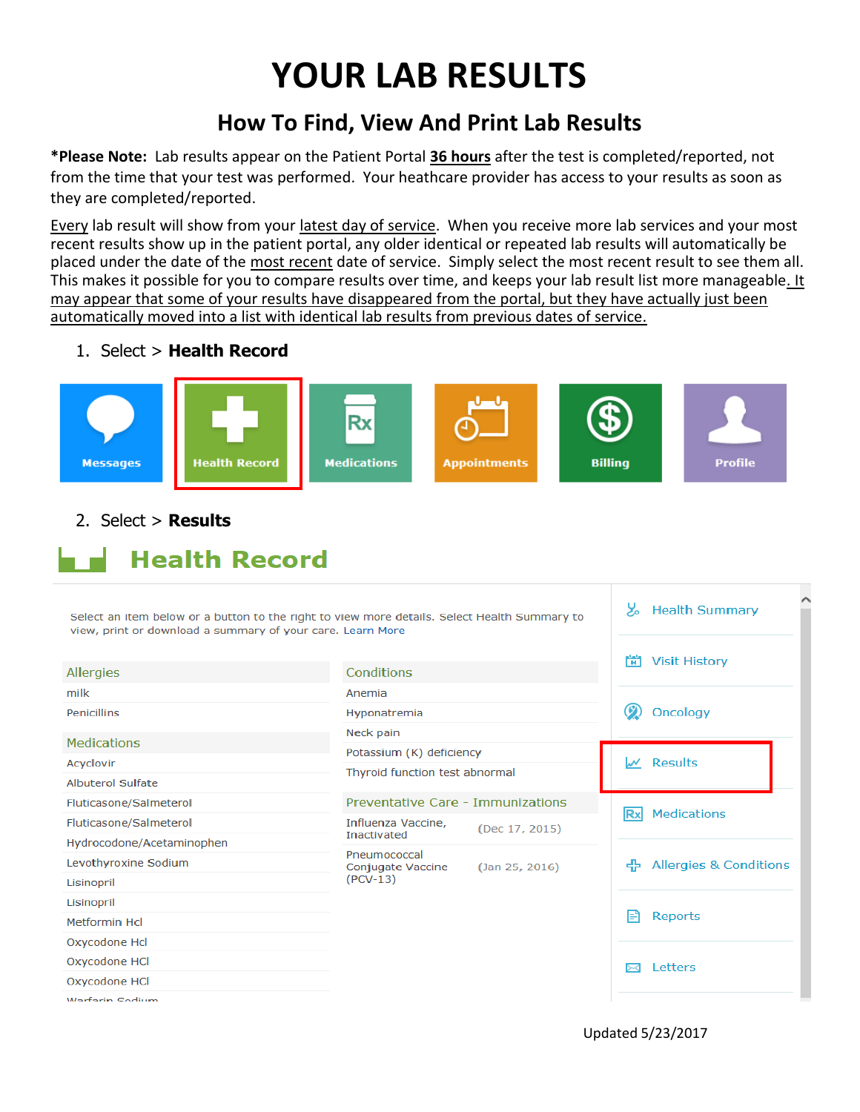## **YOUR LAB RESULTS**

## **How To Find, View And Print Lab Results**

**\*Please Note:** Lab results appear on the Patient Portal **36 hours** after the test is completed/reported, not from the time that your test was performed. Your heathcare provider has access to your results as soon as they are completed/reported.

Every lab result will show from your latest day of service. When you receive more lab services and your most recent results show up in the patient portal, any older identical or repeated lab results will automatically be placed under the date of the most recent date of service. Simply select the most recent result to see them all. This makes it possible for you to compare results over time, and keeps your lab result list more manageable. It may appear that some of your results have disappeared from the portal, but they have actually just been automatically moved into a list with identical lab results from previous dates of service.

## 1. Select > **Health Record**



2. Select > **Results**

 $\blacksquare$  Health Record

| Select an item below or a button to the right to view more details. Select Health Summary to<br>view, print or download a summary of your care. Learn More |                                                                                                 |  |   | <b>Health Summary</b>                    |  |
|------------------------------------------------------------------------------------------------------------------------------------------------------------|-------------------------------------------------------------------------------------------------|--|---|------------------------------------------|--|
|                                                                                                                                                            |                                                                                                 |  | m | <b>Visit History</b>                     |  |
| Allergies                                                                                                                                                  | Conditions                                                                                      |  |   |                                          |  |
| milk                                                                                                                                                       | Anemia                                                                                          |  |   |                                          |  |
| <b>Penicillins</b>                                                                                                                                         | Hyponatremia                                                                                    |  |   | Oncology                                 |  |
| <b>Medications</b>                                                                                                                                         | Neck pain                                                                                       |  |   |                                          |  |
|                                                                                                                                                            | Potassium (K) deficiency<br>Thyroid function test abnormal                                      |  |   | W Results                                |  |
| Acyclovir<br>Albuterol Sulfate                                                                                                                             |                                                                                                 |  |   |                                          |  |
|                                                                                                                                                            |                                                                                                 |  |   |                                          |  |
| Fluticasone/Salmeterol                                                                                                                                     | Preventative Care - Immunizations<br>Influenza Vaccine.<br>(Dec 17, 2015)<br><b>Inactivated</b> |  |   | <b>Medications</b>                       |  |
| Fluticasone/Salmeterol                                                                                                                                     |                                                                                                 |  |   |                                          |  |
| Hydrocodone/Acetaminophen                                                                                                                                  | Pneumococcal<br>(Jan 25, 2016)<br>Conjugate Vaccine                                             |  |   | <b>Allergies &amp; Conditions</b><br>45. |  |
| Levothyroxine Sodium                                                                                                                                       |                                                                                                 |  |   |                                          |  |
| Lisinopril                                                                                                                                                 | $(PCV-13)$                                                                                      |  |   |                                          |  |
| Lisinopril                                                                                                                                                 |                                                                                                 |  |   |                                          |  |
| Metformin Hcl                                                                                                                                              |                                                                                                 |  |   | F<br>Reports                             |  |
| Oxycodone Hcl                                                                                                                                              |                                                                                                 |  |   |                                          |  |
| Oxycodone HCl                                                                                                                                              |                                                                                                 |  |   | Letters                                  |  |
| Oxycodone HCl                                                                                                                                              |                                                                                                 |  |   |                                          |  |
| Warfarin Sodium                                                                                                                                            |                                                                                                 |  |   |                                          |  |

Updated 5/23/2017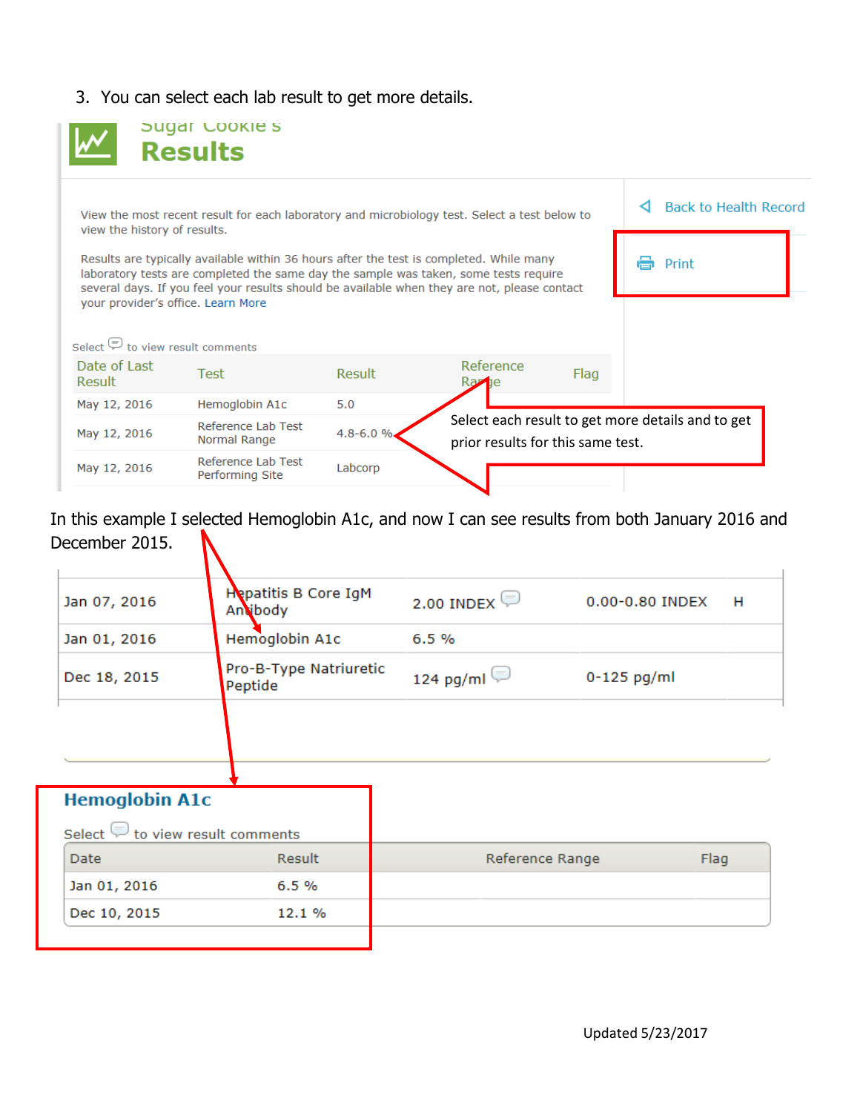3. You can select each lab result to get more details.

|                                                                                                                               | <b>Sugar COOKIES</b><br><b>Results</b>                                                                                                                                                                                                                                                                                                                                |               |                                                                                        |      |                       |  |
|-------------------------------------------------------------------------------------------------------------------------------|-----------------------------------------------------------------------------------------------------------------------------------------------------------------------------------------------------------------------------------------------------------------------------------------------------------------------------------------------------------------------|---------------|----------------------------------------------------------------------------------------|------|-----------------------|--|
| View the most recent result for each laboratory and microbiology test. Select a test below to<br>view the history of results. |                                                                                                                                                                                                                                                                                                                                                                       |               |                                                                                        |      | Back to Health Record |  |
|                                                                                                                               | Results are typically available within 36 hours after the test is completed. While many<br>laboratory tests are completed the same day the sample was taken, some tests require<br>several days. If you feel your results should be available when they are not, please contact<br>your provider's office. Learn More<br>Select $\mathcal{D}$ to view result comments |               |                                                                                        |      |                       |  |
| Date of Last<br>Result                                                                                                        | <b>Test</b>                                                                                                                                                                                                                                                                                                                                                           | <b>Result</b> | Reference<br>Ra <b>z</b> ie                                                            | Flag |                       |  |
| May 12, 2016                                                                                                                  | Hemoglobin A1c                                                                                                                                                                                                                                                                                                                                                        | 5.0           |                                                                                        |      |                       |  |
| May 12, 2016                                                                                                                  | Reference Lab Test<br>Normal Range                                                                                                                                                                                                                                                                                                                                    | 4.8-6.0%      | Select each result to get more details and to get<br>prior results for this same test. |      |                       |  |
| May 12, 2016                                                                                                                  | Reference Lab Test<br>Performing Site                                                                                                                                                                                                                                                                                                                                 | Labcorp       |                                                                                        |      |                       |  |

In this example I selected Hemoglobin A1c, and now I can see results from both January 2016 and December 2015.  $\mathbf{N}$ 

| <b>Hepatitis B Core IgM</b><br>Anvibody | 2.00 INDEX      | 0.00-0.80 INDEX<br>H   |
|-----------------------------------------|-----------------|------------------------|
| Hemoglobin A1c                          | 6.5%            |                        |
| Peptide                                 | 124 pg/ml       | $0-125$ pg/ml          |
|                                         |                 |                        |
|                                         |                 |                        |
| Select $\Box$ to view result comments   |                 |                        |
| <b>Result</b>                           | Reference Range | Flag                   |
| 6.5%                                    |                 |                        |
| 12.1 %                                  |                 |                        |
| <b>Hemoglobin A1c</b>                   |                 | Pro-B-Type Natriuretic |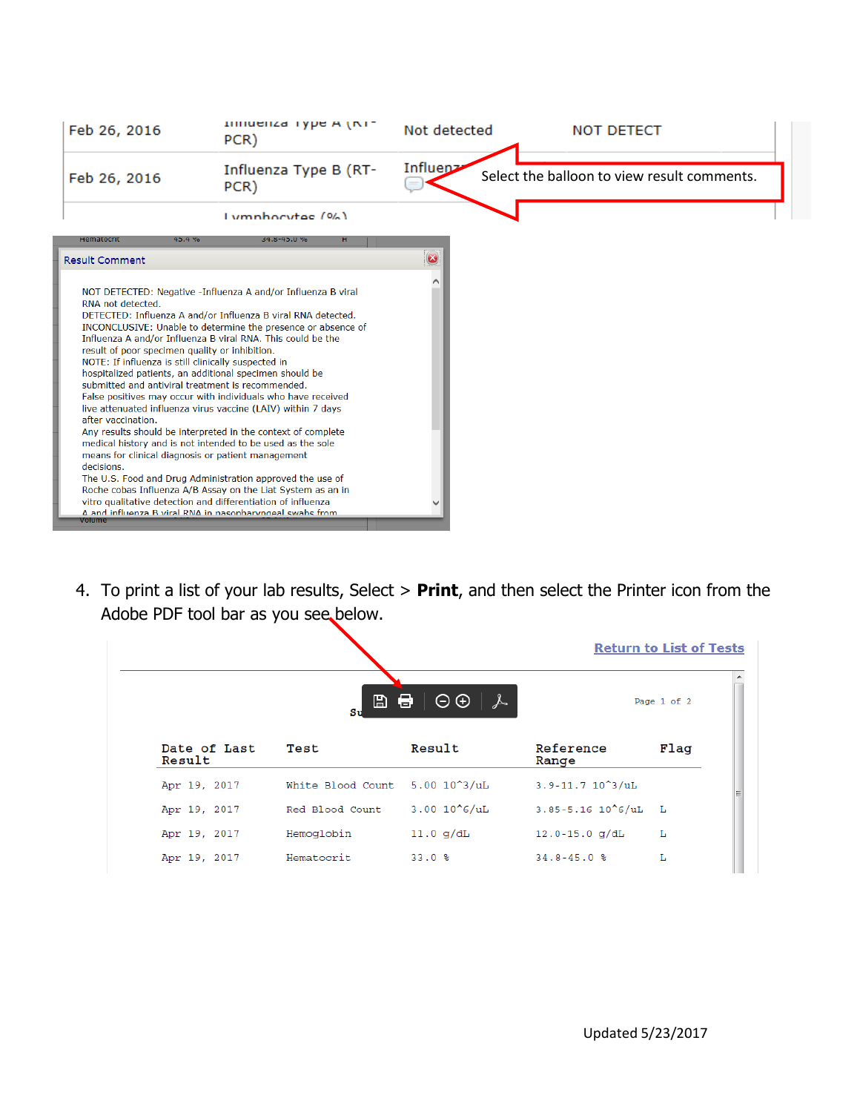| Feb 26, 2016                                                                                                                                                                                                                                                                                                                                                                                                                                                                                                                                                                                                                                                            | Immuenza Type A (NT-<br>PCR)                                                                                                                                                                                                                                                                                                                                                                                                                             | Not detected | <b>NOT DETECT</b>                           |
|-------------------------------------------------------------------------------------------------------------------------------------------------------------------------------------------------------------------------------------------------------------------------------------------------------------------------------------------------------------------------------------------------------------------------------------------------------------------------------------------------------------------------------------------------------------------------------------------------------------------------------------------------------------------------|----------------------------------------------------------------------------------------------------------------------------------------------------------------------------------------------------------------------------------------------------------------------------------------------------------------------------------------------------------------------------------------------------------------------------------------------------------|--------------|---------------------------------------------|
| Feb 26, 2016                                                                                                                                                                                                                                                                                                                                                                                                                                                                                                                                                                                                                                                            | Influenza Type B (RT-<br>PCR)                                                                                                                                                                                                                                                                                                                                                                                                                            | Influen>     | Select the balloon to view result comments. |
|                                                                                                                                                                                                                                                                                                                                                                                                                                                                                                                                                                                                                                                                         | $I$ umphacytes $(96)$                                                                                                                                                                                                                                                                                                                                                                                                                                    |              |                                             |
| Hematocrit<br>45.4 %                                                                                                                                                                                                                                                                                                                                                                                                                                                                                                                                                                                                                                                    | 34.8-45.0 %                                                                                                                                                                                                                                                                                                                                                                                                                                              |              |                                             |
| <b>Result Comment</b>                                                                                                                                                                                                                                                                                                                                                                                                                                                                                                                                                                                                                                                   |                                                                                                                                                                                                                                                                                                                                                                                                                                                          | $\bullet$    |                                             |
| RNA not detected.<br>Influenza A and/or Influenza B viral RNA. This could be the<br>result of poor specimen quality or inhibition.<br>NOTE: If influenza is still clinically suspected in<br>hospitalized patients, an additional specimen should be<br>submitted and antiviral treatment is recommended.<br>live attenuated influenza virus vaccine (LAIV) within 7 days<br>after vaccination.<br>medical history and is not intended to be used as the sole<br>means for clinical diagnosis or patient management<br>decisions.<br>vitro qualitative detection and differentiation of influenza<br>A and influenza B viral RNA in nasonharyngeal swahs from<br>Volume | NOT DETECTED: Negative -Influenza A and/or Influenza B viral<br>DETECTED: Influenza A and/or Influenza B viral RNA detected.<br>INCONCLUSIVE: Unable to determine the presence or absence of<br>False positives may occur with individuals who have received<br>Any results should be interpreted in the context of complete<br>The U.S. Food and Drug Administration approved the use of<br>Roche cobas Influenza A/B Assay on the Liat System as an in |              |                                             |

4. To print a list of your lab results, Select > **Print**, and then select the Printer icon from the Adobe PDF tool bar as you see below.

|                        |                                |                                              |                           | <b>Return to List of Tests</b> |
|------------------------|--------------------------------|----------------------------------------------|---------------------------|--------------------------------|
|                        | $\mathbb{B}$<br>Su             | $\bigoplus$ $\bigcirc$ $\bigcirc$ $\bigcirc$ |                           | Page 1 of 2                    |
| Date of Last<br>Result | Test                           | Result                                       | Reference<br>Range        | Flag                           |
| Apr 19, 2017           | White Blood Count 5.00 10^3/uL |                                              | $3.9 - 11.7 10^{2}$ /uL   |                                |
| Apr 19, 2017           | Red Blood Count                | $3.00 10^{6}/uL$                             | $3.85 - 5.16 10^{6}/uL$ L |                                |
| Apr 19, 2017           | Hemoglobin                     | $11.0$ g/dL                                  | $12.0 - 15.0$ g/dL        | L                              |
| Apr 19, 2017           | Hematocrit                     | 33.0%                                        | $34.8 - 45.0$ %           | L                              |